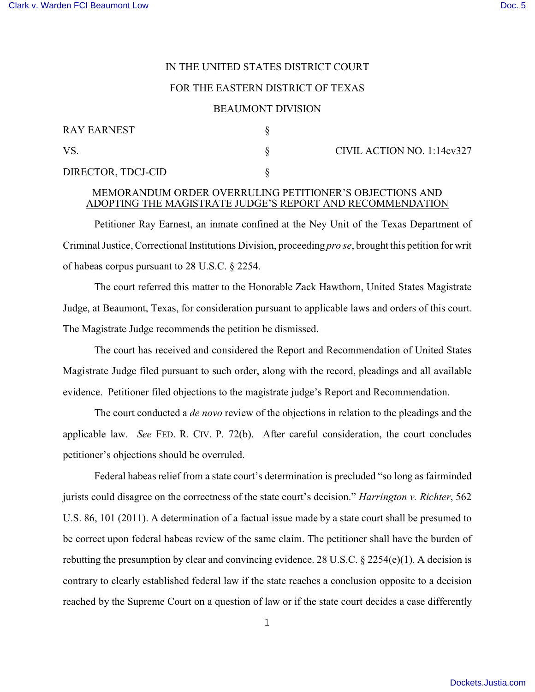## IN THE UNITED STATES DISTRICT COURT

### FOR THE EASTERN DISTRICT OF TEXAS

### BEAUMONT DIVISION

| <b>RAY EARNEST</b> |  |  |
|--------------------|--|--|
| VS.                |  |  |
| DIRECTOR, TDCJ-CID |  |  |

 $\S$  CIVIL ACTION NO. 1:14cv327

#### MEMORANDUM ORDER OVERRULING PETITIONER'S OBJECTIONS AND ADOPTING THE MAGISTRATE JUDGE'S REPORT AND RECOMMENDATION

Petitioner Ray Earnest, an inmate confined at the Ney Unit of the Texas Department of Criminal Justice, Correctional Institutions Division, proceeding *pro se*, brought this petition for writ of habeas corpus pursuant to 28 U.S.C. § 2254.

The court referred this matter to the Honorable Zack Hawthorn, United States Magistrate Judge, at Beaumont, Texas, for consideration pursuant to applicable laws and orders of this court. The Magistrate Judge recommends the petition be dismissed.

The court has received and considered the Report and Recommendation of United States Magistrate Judge filed pursuant to such order, along with the record, pleadings and all available evidence. Petitioner filed objections to the magistrate judge's Report and Recommendation.

The court conducted a *de novo* review of the objections in relation to the pleadings and the applicable law. *See* FED. R. CIV. P. 72(b). After careful consideration, the court concludes petitioner's objections should be overruled.

Federal habeas relief from a state court's determination is precluded "so long as fairminded jurists could disagree on the correctness of the state court's decision." *Harrington v. Richter*, 562 U.S. 86, 101 (2011). A determination of a factual issue made by a state court shall be presumed to be correct upon federal habeas review of the same claim. The petitioner shall have the burden of rebutting the presumption by clear and convincing evidence. 28 U.S.C. § 2254(e)(1). A decision is contrary to clearly established federal law if the state reaches a conclusion opposite to a decision reached by the Supreme Court on a question of law or if the state court decides a case differently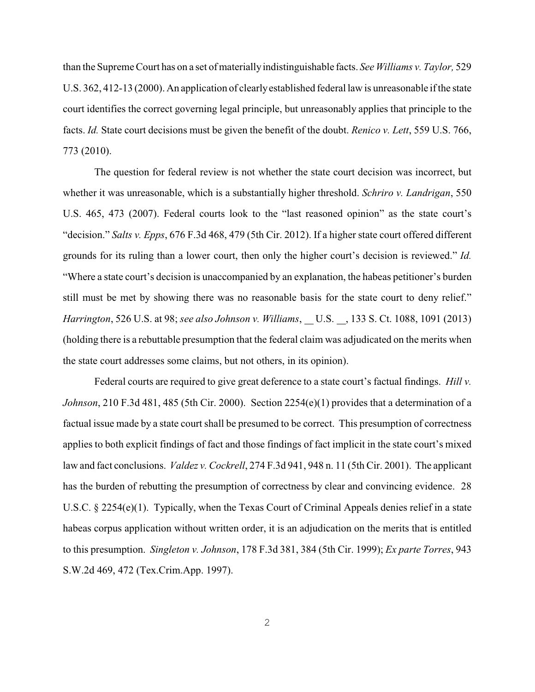than the Supreme Court has on a set of materiallyindistinguishable facts. *See Williams v. Taylor,* 529 U.S. 362, 412-13 (2000). An application of clearlyestablished federal law is unreasonable if the state court identifies the correct governing legal principle, but unreasonably applies that principle to the facts. *Id.* State court decisions must be given the benefit of the doubt. *Renico v. Lett*, 559 U.S. 766, 773 (2010).

The question for federal review is not whether the state court decision was incorrect, but whether it was unreasonable, which is a substantially higher threshold. *Schriro v. Landrigan*, 550 U.S. 465, 473 (2007). Federal courts look to the "last reasoned opinion" as the state court's "decision." *Salts v. Epps*, 676 F.3d 468, 479 (5th Cir. 2012). If a higher state court offered different grounds for its ruling than a lower court, then only the higher court's decision is reviewed." *Id.* "Where a state court's decision is unaccompanied by an explanation, the habeas petitioner's burden still must be met by showing there was no reasonable basis for the state court to deny relief." *Harrington*, 526 U.S. at 98; *see also Johnson v. Williams*, U.S. , 133 S. Ct. 1088, 1091 (2013) (holding there is a rebuttable presumption that the federal claim was adjudicated on the merits when the state court addresses some claims, but not others, in its opinion).

Federal courts are required to give great deference to a state court's factual findings. *Hill v. Johnson*, 210 F.3d 481, 485 (5th Cir. 2000). Section 2254(e)(1) provides that a determination of a factual issue made by a state court shall be presumed to be correct. This presumption of correctness applies to both explicit findings of fact and those findings of fact implicit in the state court's mixed law and fact conclusions. *Valdez v. Cockrell*, 274 F.3d 941, 948 n. 11 (5th Cir. 2001). The applicant has the burden of rebutting the presumption of correctness by clear and convincing evidence. 28 U.S.C. § 2254(e)(1). Typically, when the Texas Court of Criminal Appeals denies relief in a state habeas corpus application without written order, it is an adjudication on the merits that is entitled to this presumption. *Singleton v. Johnson*, 178 F.3d 381, 384 (5th Cir. 1999); *Ex parte Torres*, 943 S.W.2d 469, 472 (Tex.Crim.App. 1997).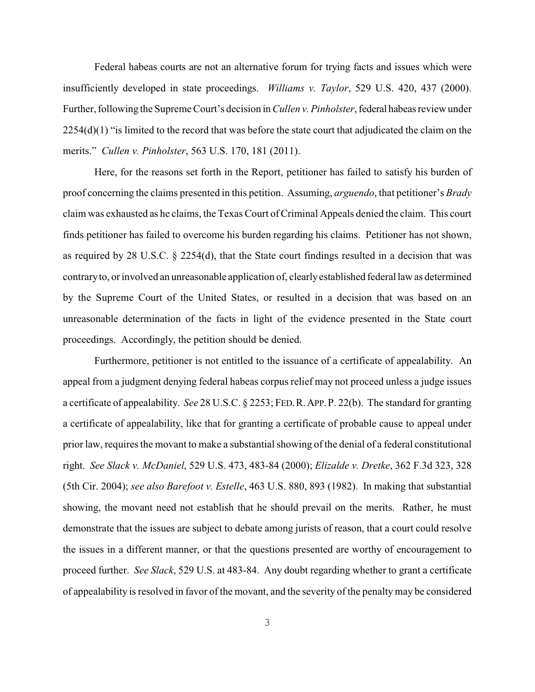Federal habeas courts are not an alternative forum for trying facts and issues which were insufficiently developed in state proceedings. *Williams v. Taylor*, 529 U.S. 420, 437 (2000). Further, following the Supreme Court's decision in *Cullen v. Pinholster*, federal habeas review under  $2254(d)(1)$  "is limited to the record that was before the state court that adjudicated the claim on the merits." *Cullen v. Pinholster*, 563 U.S. 170, 181 (2011).

Here, for the reasons set forth in the Report, petitioner has failed to satisfy his burden of proof concerning the claims presented in this petition. Assuming, *arguendo*, that petitioner's *Brady* claim was exhausted as he claims, the Texas Court ofCriminal Appeals denied the claim. This court finds petitioner has failed to overcome his burden regarding his claims. Petitioner has not shown, as required by 28 U.S.C.  $\S$  2254(d), that the State court findings resulted in a decision that was contraryto, or involved an unreasonable application of, clearlyestablished federal law as determined by the Supreme Court of the United States, or resulted in a decision that was based on an unreasonable determination of the facts in light of the evidence presented in the State court proceedings. Accordingly, the petition should be denied.

Furthermore, petitioner is not entitled to the issuance of a certificate of appealability. An appeal from a judgment denying federal habeas corpus relief may not proceed unless a judge issues a certificate of appealability. *See* 28 U.S.C. § 2253; FED.R.APP.P. 22(b). The standard for granting a certificate of appealability, like that for granting a certificate of probable cause to appeal under prior law, requires the movant to make a substantial showing of the denial of a federal constitutional right. *See Slack v. McDaniel*, 529 U.S. 473, 483-84 (2000); *Elizalde v. Dretke*, 362 F.3d 323, 328 (5th Cir. 2004); *see also Barefoot v. Estelle*, 463 U.S. 880, 893 (1982). In making that substantial showing, the movant need not establish that he should prevail on the merits. Rather, he must demonstrate that the issues are subject to debate among jurists of reason, that a court could resolve the issues in a different manner, or that the questions presented are worthy of encouragement to proceed further. *See Slack*, 529 U.S. at 483-84. Any doubt regarding whether to grant a certificate of appealability is resolved in favor of the movant, and the severity of the penalty may be considered